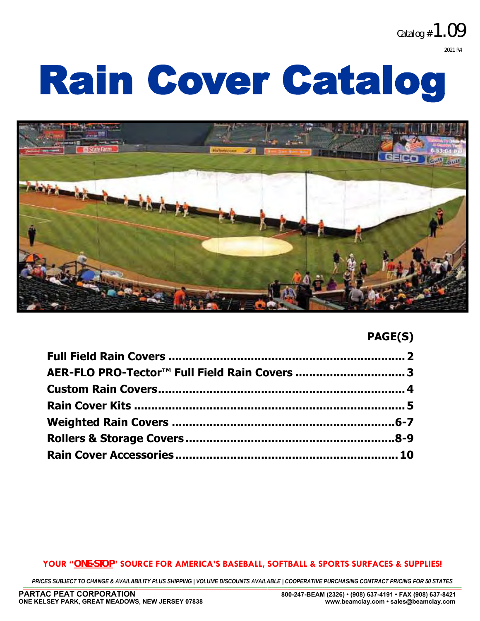**Catalog #1.09 2021 R4**

# Rain Cover Catalog



# **PAGE(S)**

| AER-FLO PRO-Tector™ Full Field Rain Covers  3 |  |
|-----------------------------------------------|--|
|                                               |  |
|                                               |  |
|                                               |  |
|                                               |  |
|                                               |  |

# **YOUR "***ONE-STOP***" SOURCE FOR AMERICA'S BASEBALL, SOFTBALL & SPORTS SURFACES & SUPPLIES!**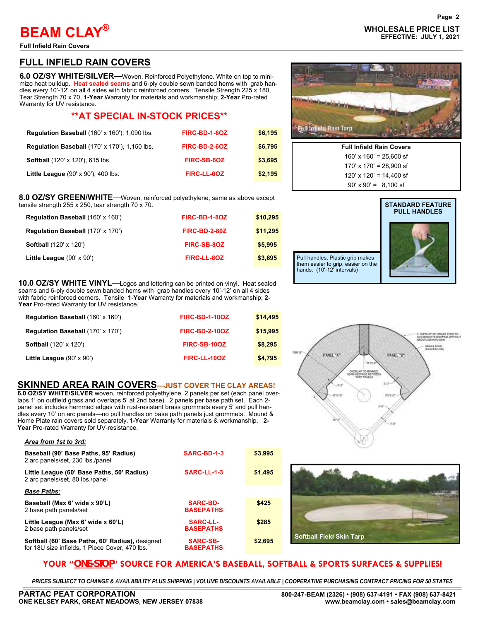**Full Infield Rain Covers** —————————————————————————————————————–———————————————————

*Area from 1st to 3rd:*

# **FULL INFIELD RAIN COVERS**

**6.0 OZ/SY WHITE/SILVER—**Woven, Reinforced Polyethylene. White on top to minimize heat buildup. **Heat sealed seams** and 6-ply double sewn banded hems with grab handles every 10'-12' on all 4 sides with fabric reinforced corners. Tensile Strength 225 x 180, Tear Strength 70 x 70, **1-Year** Warranty for materials and workmanship; **2-Year** Pro-rated Warranty for UV resistance.

# **\*\*AT SPECIAL IN-STOCK PRICES\*\***

| <b>Requlation Baseball (160' x 160'), 1,090 lbs.</b> | FIRC-BD-1-6OZ | \$6.195 |
|------------------------------------------------------|---------------|---------|
| <b>Requiation Baseball (170' x 170'), 1,150 lbs.</b> | FIRC-BD-2-6OZ | \$6,795 |
| <b>Softball</b> (120' x 120'), 615 lbs.              | FIRC-SB-6OZ   | \$3,695 |
| Little League (90' x 90'), 400 lbs.                  | FIRC-LL-6OZ   | \$2,195 |

#### **8.0 OZ/SY GREEN/WHITE**—Woven, reinforced polyethylene, same as above except tensile strength 255 x 250, tear strength 70 x 70.

| $\frac{1}{2}$ is its construct to $\frac{1}{2}$ and $\frac{1}{2}$ and $\frac{1}{2}$ and $\frac{1}{2}$ and $\frac{1}{2}$ and $\frac{1}{2}$ and $\frac{1}{2}$ |                      |          |
|-------------------------------------------------------------------------------------------------------------------------------------------------------------|----------------------|----------|
| <b>Regulation Baseball (160' x 160')</b>                                                                                                                    | FIRC-BD-1-8OZ        | \$10,295 |
| Regulation Baseball (170' x 170')                                                                                                                           | <b>FIRC-BD-2-80Z</b> | \$11,295 |
| <b>Softball</b> (120' x 120')                                                                                                                               | FIRC-SB-80Z          | \$5,995  |
| Little League $(90' \times 90')$                                                                                                                            | FIRC-LL-80Z          | \$3,695  |

**10.0 OZ/SY WHITE VINYL**—Logos and lettering can be printed on vinyl. Heat sealed seams and 6-ply double sewn banded hems with grab handles every 10'-12' on all 4 sides with fabric reinforced corners. Tensile **1-Year** Warranty for materials and workmanship; **2- Year** Pro-rated Warranty for UV resistance.

| Regulation Baseball (160' x 160') | <b>FIRC-BD-1-10OZ</b> | \$14,495 |
|-----------------------------------|-----------------------|----------|
| Regulation Baseball (170' x 170') | <b>FIRC-BD-2-10OZ</b> | \$15,995 |
| <b>Softball</b> (120' x 120')     | FIRC-SB-10OZ          | \$8,295  |
| Little League $(90' \times 90')$  | FIRC-LL-10OZ          | \$4,795  |

# **SKINNED AREA RAIN COVERS—JUST COVER THE CLAY AREAS!**

**6.0 OZ/SY WHITE/SILVER** woven, reinforced polyethylene. 2 panels per set (each panel overlaps 1' on outfield grass and overlaps 5' at 2nd base). 2 panels per base path set. Each 2 panel set includes hemmed edges with rust-resistant brass grommets every 5' and pull handles every 10' on arc panels—no pull handles on base path panels just grommets. Mound & Home Plate rain covers sold separately. **1-Year** Warranty for materials & workmanship. **2- Year** Pro-rated Warranty for UV-resistance.

| Alea IIVIII ISL IO SIU.                                                                           |                                     |         |
|---------------------------------------------------------------------------------------------------|-------------------------------------|---------|
| Baseball (90' Base Paths, 95' Radius)<br>2 arc panels/set, 230 lbs./panel                         | SARC-BD-1-3                         | \$3,995 |
| Little League (60' Base Paths, 50' Radius)<br>2 arc panels/set, 80 lbs./panel                     | SARC-LL-1-3                         | \$1,495 |
| <b>Base Paths:</b>                                                                                |                                     |         |
| Baseball (Max 6' wide x 90'L)<br>2 base path panels/set                                           | <b>SARC-BD-</b><br><b>BASEPATHS</b> | \$425   |
| Little League (Max 6' wide x 60'L)<br>2 base path panels/set                                      | <b>SARC-LL-</b><br><b>BASEPATHS</b> | \$285   |
| Softball (60' Base Paths, 60' Radius), designed<br>for 18U size infields, 1 Piece Cover, 470 lbs. | <b>SARC-SB-</b><br><b>BASEPATHS</b> | \$2,695 |

# **Page 2 WHOLESALE PRICE LIST BEAM CLAY EFFECTIVE: JULY 1, 2021 ®**



| <b>Full Infield Rain Covers</b> |
|---------------------------------|
| $160'$ x $160'$ = 25.600 sf     |
| $170'$ x $170'$ = 28.900 sf     |
| $120'$ x $120'$ = $14.400$ sf   |
| $90' \times 90' = 8.100$ sf     |







# **YOUR "***ONE-STOP***" SOURCE FOR AMERICA'S BASEBALL, SOFTBALL & SPORTS SURFACES & SUPPLIES!**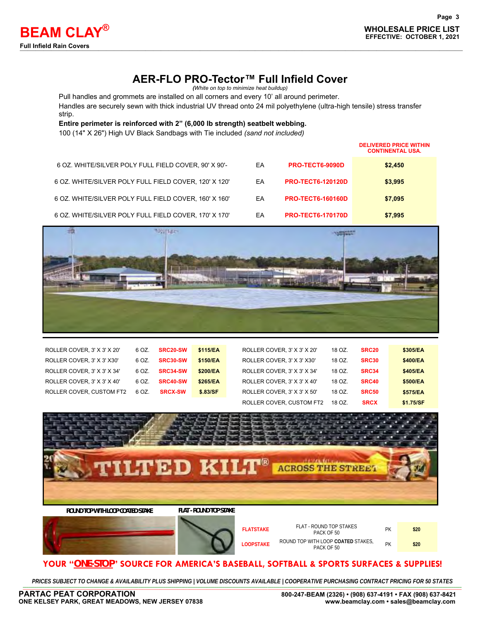# **AER-FLO PRO-Tector™ Full Infield Cover**

*(White on top to minimize heat buildup)*

Pull handles and grommets are installed on all corners and every 10' all around perimeter.

Handles are securely sewn with thick industrial UV thread onto 24 mil polyethylene (ultra-high tensile) stress transfer strip.

**Entire perimeter is reinforced with 2" (6,000 lb strength) seatbelt webbing.**

100 (14" X 26") High UV Black Sandbags with Tie included *(sand not included)*

|                                                       |    |                          | <b>DELIVERED PRICE WITHIN</b><br><b>CONTINENTAL USA.</b> |
|-------------------------------------------------------|----|--------------------------|----------------------------------------------------------|
| 6 OZ. WHITE/SILVER POLY FULL FIELD COVER, 90' X 90'-  | EA | <b>PRO-TECT6-9090D</b>   | \$2,450                                                  |
| 6 OZ. WHITE/SILVER POLY FULL FIELD COVER, 120' X 120' | EA | <b>PRO-TECT6-120120D</b> | \$3,995                                                  |
| 6 OZ. WHITE/SILVER POLY FULL FIELD COVER, 160' X 160' | EA | <b>PRO-TECT6-160160D</b> | \$7,095                                                  |
| 6 OZ. WHITE/SILVER POLY FULL FIELD COVER, 170' X 170' | EA | <b>PRO-TECT6-170170D</b> | \$7,995                                                  |



| ROLLER COVER, 3' X 3' X 20' | 6 OZ. | <b>SRC20-SW</b> | \$115/EA | ROLLER COVER. 3' X 3' X 20' | 18 OZ. | SRC <sub>20</sub> | \$305/EA  |
|-----------------------------|-------|-----------------|----------|-----------------------------|--------|-------------------|-----------|
| ROLLER COVER. 3' X 3' X30'  | 6 OZ. | <b>SRC30-SW</b> | \$150/EA | ROLLER COVER, 3' X 3' X30'  | 18 OZ. | SRC30             | \$400/EA  |
| ROLLER COVER, 3' X 3' X 34' | 6 OZ. | <b>SRC34-SW</b> | \$200/EA | ROLLER COVER, 3' X 3' X 34' | 18 OZ. | SRC34             | \$405/EA  |
| ROLLER COVER, 3' X 3' X 40' | 6 OZ. | <b>SRC40-SW</b> | \$265/EA | ROLLER COVER. 3' X 3' X 40' | 18 OZ. | SRC40             | \$500/EA  |
| ROLLER COVER. CUSTOM FT2    | 6 OZ. | <b>SRCX-SW</b>  | \$.83/SF | ROLLER COVER. 3' X 3' X 50' | 18 OZ. | SRC50             | \$575/EA  |
|                             |       |                 |          | ROLLER COVER, CUSTOM FT2    | 18 OZ. | <b>SRCX</b>       | \$1.75/SF |



PACK OF 50 **PK** PACK OF 50 **LOOPSTAKE** ROUND TOP WITH LOOP **COATED** STAKES, TH LOOP COATED STAKES, PK **\$20**<br>PACK OF 50

# **YOUR "***ONE-STOP***" SOURCE FOR AMERICA'S BASEBALL, SOFTBALL & SPORTS SURFACES & SUPPLIES!**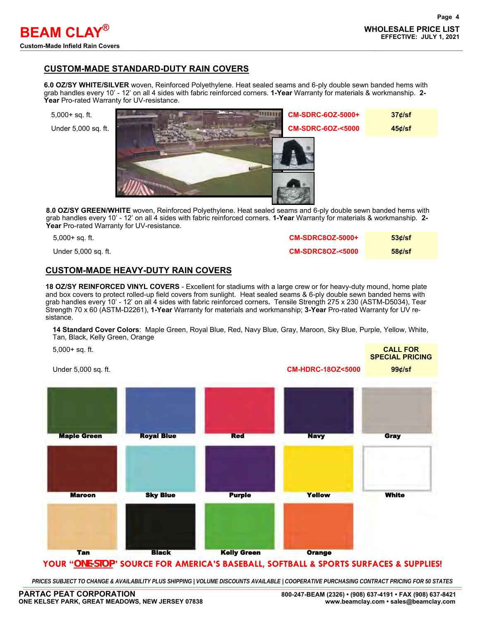# **CUSTOM-MADE STANDARD-DUTY RAIN COVERS**

**6.0 OZ/SY WHITE/SILVER** woven, Reinforced Polyethylene. Heat sealed seams and 6-ply double sewn banded hems with grab handles every 10' - 12' on all 4 sides with fabric reinforced corners. **1-Year** Warranty for materials & workmanship. **2- Year** Pro-rated Warranty for UV-resistance.



**8.0 OZ/SY GREEN/WHITE** woven, Reinforced Polyethylene. Heat sealed seams and 6-ply double sewn banded hems with grab handles every 10' - 12' on all 4 sides with fabric reinforced corners. **1-Year** Warranty for materials & workmanship. **2- Year** Pro-rated Warranty for UV-resistance.

| 5,000+ sq. ft.      | <b>CM-SDRC8OZ-5000+</b>    | $53$ <i>d</i> /sf |
|---------------------|----------------------------|-------------------|
| Under 5,000 sq. ft. | <b>CM-SDRC8OZ-&lt;5000</b> | $58$ $d/sf$       |

# **CUSTOM-MADE HEAVY-DUTY RAIN COVERS**

**18 OZ/SY REINFORCED VINYL COVERS** - Excellent for stadiums with a large crew or for heavy-duty mound, home plate and box covers to protect rolled-up field covers from sunlight. Heat sealed seams & 6-ply double sewn banded hems with grab handles every 10' - 12' on all 4 sides with fabric reinforced corners**.** Tensile Strength 275 x 230 (ASTM-D5034), Tear Strength 70 x 60 (ASTM-D2261), **1-Year** Warranty for materials and workmanship; **3-Year** Pro-rated Warranty for UV resistance.

**14 Standard Cover Colors**: Maple Green, Royal Blue, Red, Navy Blue, Gray, Maroon, Sky Blue, Purple, Yellow, White, Tan, Black, Kelly Green, Orange

| $5,000+$ sq. ft. |  |  |
|------------------|--|--|

Under 5,000 sq. ft. **CM-HDRC-18OZ<5000 99¢/sf**



# **YOUR "***ONE-STOP***" SOURCE FOR AMERICA'S BASEBALL, SOFTBALL & SPORTS SURFACES & SUPPLIES!**

PRICES SUBJECT TO CHANGE & AVAILABILITY PLUS SHIPPING | VOLUME DISCOUNTS AVAILABLE | COOPERATIVE PURCHASING CONTRACT PRICING FOR 50 STATES \_\_\_\_\_\_\_\_\_\_\_\_\_\_\_\_\_\_\_\_\_\_\_\_\_\_\_\_\_\_\_\_\_\_\_\_\_\_\_\_\_\_\_\_\_\_\_\_\_\_\_\_\_\_\_\_\_\_\_\_\_\_\_\_\_\_\_\_\_\_\_\_\_\_\_\_\_\_\_\_\_\_\_\_\_\_\_\_\_\_\_\_\_\_\_\_\_\_\_\_\_\_\_\_\_\_\_\_\_\_\_\_\_\_\_\_\_\_\_\_\_\_\_\_\_\_\_\_\_\_\_\_\_\_\_\_\_\_\_\_\_\_\_\_\_\_\_\_\_\_\_\_\_\_\_\_\_\_\_\_\_\_\_\_\_\_\_\_\_\_\_\_\_\_\_\_\_\_\_\_\_\_\_\_\_\_\_\_\_\_\_\_\_\_\_\_\_\_\_\_\_\_\_\_\_\_\_\_\_\_\_\_\_\_\_\_\_\_\_\_\_\_\_\_

5,000+ sq. ft. **CALL FOR SPECIAL PRICING**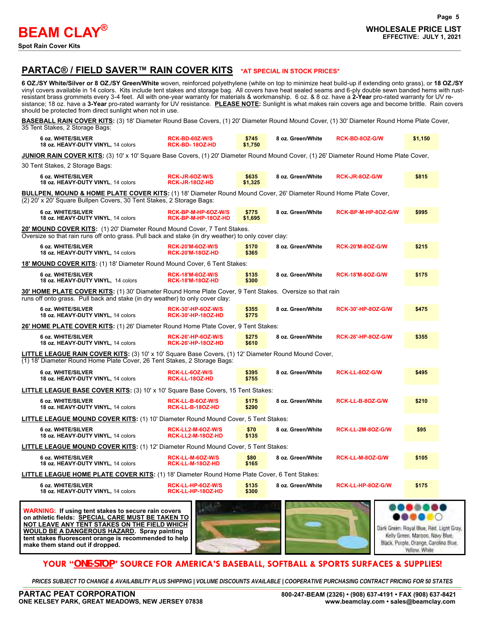

# **PARTAC® / FIELD SAVER™ RAIN COVER KITS \*AT SPECIAL IN STOCK PRICES\***

**6 OZ./SY White/Silver or 8 OZ./SY Green/White** woven, reinforced polyethylene (white on top to minimize heat build-up if extending onto grass), or **18 OZ./SY** vinyl covers available in 14 colors. Kits include tent stakes and storage bag. All covers have heat sealed seams and 6-ply double sewn banded hems with rustresistant brass grommets every 3-4 feet. All with one-year warranty for materials & workmanship. 6 oz. & 8 oz. have a **2-Year** pro-rated warranty for UV resistance; 18 oz. have a **3-Year** pro-rated warranty for UV resistance. **PLEASE NOTE:** Sunlight is what makes rain covers age and become brittle. Rain covers should be protected from direct sunlight when not in use.

**BASEBALL RAIN COVER KITS:** (3) 18' Diameter Round Base Covers, (1) 20' Diameter Round Mound Cover, (1) 30' Diameter Round Home Plate Cover, 35 Tent Stakes, 2 Storage Bags:

| 6 oz. WHITE/SILVER<br>18 oz. HEAVY-DUTY VINYL, 14 colors                                                                                                                                                                                                                       | RCK-BD-60Z-W/S<br><b>RCK-BD-180Z-HD</b>                | \$745<br>\$1,750 | 8 oz. Green/White | RCK-BD-8OZ-G/W            | \$1,150                                                                         |
|--------------------------------------------------------------------------------------------------------------------------------------------------------------------------------------------------------------------------------------------------------------------------------|--------------------------------------------------------|------------------|-------------------|---------------------------|---------------------------------------------------------------------------------|
| JUNIOR RAIN COVER KITS: (3) 10' x 10' Square Base Covers, (1) 20' Diameter Round Mound Cover, (1) 26' Diameter Round Home Plate Cover,                                                                                                                                         |                                                        |                  |                   |                           |                                                                                 |
| 30 Tent Stakes, 2 Storage Bags:                                                                                                                                                                                                                                                |                                                        |                  |                   |                           |                                                                                 |
| 6 oz. WHITE/SILVER<br>18 oz. HEAVY-DUTY VINYL, 14 colors                                                                                                                                                                                                                       | RCK-JR-60Z-W/S<br><b>RCK-JR-180Z-HD</b>                | \$635<br>\$1,325 | 8 oz. Green/White | RCK-JR-80Z-G/W            | \$815                                                                           |
| BULLPEN, MOUND & HOME PLATE COVER KITS: (1) 18' Diameter Round Mound Cover, 26' Diameter Round Home Plate Cover,<br>(2) 20' x 20' Square Bullpen Covers, 30 Tent Stakes, 2 Storage Bags:                                                                                       |                                                        |                  |                   |                           |                                                                                 |
| 6 oz. WHITE/SILVER<br>18 oz. HEAVY-DUTY VINYL, 14 colors                                                                                                                                                                                                                       | RCK-BP-M-HP-6OZ-W/S<br>RCK-BP-M-HP-18OZ-HD             | \$775<br>\$1,695 | 8 oz. Green/White | RCK-BP-M-HP-80Z-G/W       | \$995                                                                           |
| 20' MOUND COVER KITS: (1) 20' Diameter Round Mound Cover, 7 Tent Stakes.<br>Oversize so that rain runs off onto grass. Pull back and stake (in dry weather) to only cover clay:                                                                                                |                                                        |                  |                   |                           |                                                                                 |
| 6 oz. WHITE/SILVER<br>18 oz. HEAVY-DUTY VINYL, 14 colors                                                                                                                                                                                                                       | <b>RCK-20'M-6OZ-W/S</b><br><b>RCK-20'M-18OZ-HD</b>     | \$170<br>\$365   | 8 oz. Green/White | <b>RCK-20'M-8OZ-G/W</b>   | \$215                                                                           |
| <b>18' MOUND COVER KITS:</b> (1) 18' Diameter Round Mound Cover, 6 Tent Stakes:                                                                                                                                                                                                |                                                        |                  |                   |                           |                                                                                 |
| 6 oz. WHITE/SILVER<br>18 oz. HEAVY-DUTY VINYL, 14 colors                                                                                                                                                                                                                       | <b>RCK-18'M-6OZ-W/S</b><br><b>RCK-18'M-18OZ-HD</b>     | \$135<br>\$300   | 8 oz. Green/White | <b>RCK-18'M-8OZ-G/W</b>   | \$175                                                                           |
| 30' HOME PLATE COVER KITS: (1) 30' Diameter Round Home Plate Cover, 9 Tent Stakes. Oversize so that rain<br>runs off onto grass. Pull back and stake (in dry weather) to only cover clay:                                                                                      |                                                        |                  |                   |                           |                                                                                 |
| 6 oz. WHITE/SILVER<br>18 oz. HEAVY-DUTY VINYL, 14 colors                                                                                                                                                                                                                       | <b>RCK-30'-HP-6OZ-W/S</b><br>RCK-30'-HP-18OZ-HD        | \$355<br>\$775   | 8 oz. Green/White | <b>RCK-30'-HP-8OZ-G/W</b> | \$475                                                                           |
| 26' HOME PLATE COVER KITS: (1) 26' Diameter Round Home Plate Cover, 9 Tent Stakes:                                                                                                                                                                                             |                                                        |                  |                   |                           |                                                                                 |
| 6 oz. WHITE/SILVER<br>18 oz. HEAVY-DUTY VINYL, 14 colors                                                                                                                                                                                                                       | <b>RCK-26'-HP-6OZ-W/S</b><br><b>RCK-26'-HP-18OZ-HD</b> | \$275<br>\$610   | 8 oz. Green/White | <b>RCK-26'-HP-8OZ-G/W</b> | \$355                                                                           |
| LITTLE LEAGUE RAIN COVER KITS: (3) 10' x 10' Square Base Covers, (1) 12' Diameter Round Mound Cover,<br>(1) 18' Diameter Round Home Plate Cover, 26 Tent Stakes, 2 Storage Bags:                                                                                               |                                                        |                  |                   |                           |                                                                                 |
| 6 oz. WHITE/SILVER<br>18 oz. HEAVY-DUTY VINYL, 14 colors                                                                                                                                                                                                                       | RCK-LL-6OZ-W/S<br>RCK-LL-18OZ-HD                       | \$395<br>\$755   | 8 oz. Green/White | RCK-LL-8OZ-G/W            | \$495                                                                           |
| <b>LITTLE LEAGUE BASE COVER KITS:</b> (3) 10' x 10' Square Base Covers, 15 Tent Stakes:                                                                                                                                                                                        |                                                        |                  |                   |                           |                                                                                 |
| 6 oz. WHITE/SILVER<br>18 oz. HEAVY-DUTY VINYL, 14 colors                                                                                                                                                                                                                       | RCK-LL-B-6OZ-W/S<br>RCK-LL-B-180Z-HD                   | \$175<br>\$290   | 8 oz. Green/White | RCK-LL-B-80Z-G/W          | \$210                                                                           |
| LITTLE LEAGUE MOUND COVER KITS: (1) 10' Diameter Round Mound Cover, 5 Tent Stakes:                                                                                                                                                                                             |                                                        |                  |                   |                           |                                                                                 |
| 6 oz. WHITE/SILVER<br>18 oz. HEAVY-DUTY VINYL, 14 colors                                                                                                                                                                                                                       | RCK-LL2-M-6OZ-W/S<br>RCK-LL2-M-18OZ-HD                 | \$70<br>\$135    | 8 oz. Green/White | RCK-LL-2M-8OZ-G/W         | \$95                                                                            |
| LITTLE LEAGUE MOUND COVER KITS: (1) 12' Diameter Round Mound Cover, 5 Tent Stakes:                                                                                                                                                                                             |                                                        |                  |                   |                           |                                                                                 |
| 6 oz. WHITE/SILVER<br>18 oz. HEAVY-DUTY VINYL, 14 colors                                                                                                                                                                                                                       | RCK-LL-M-6OZ-W/S<br>RCK-LL-M-18OZ-HD                   | \$80<br>\$165    | 8 oz. Green/White | RCK-LL-M-80Z-G/W          | \$105                                                                           |
| LITTLE LEAGUE HOME PLATE COVER KITS: (1) 18' Diameter Round Home Plate Cover, 6 Tent Stakes:                                                                                                                                                                                   |                                                        |                  |                   |                           |                                                                                 |
| 6 oz. WHITE/SILVER<br>18 oz. HEAVY-DUTY VINYL, 14 colors                                                                                                                                                                                                                       | RCK-LL-HP-6OZ-W/S<br>RCK-LL-HP-18OZ-HD                 | \$135<br>\$300   | 8 oz. Green/White | RCK-LL-HP-8OZ-G/W         | \$175                                                                           |
| <b>WARNING:</b> If using tent stakes to secure rain covers<br>on athletic fields: SPECIAL CARE MUST BE TAKEN TO<br>NOT LEAVE ANY TENT STAKES ON THE FIELD WHICH<br><b>WOULD BE A DANGEROUS HAZARD. Spray painting</b><br>tent stakes fluorescent orange is recommended to help |                                                        | m                |                   |                           | <br>Dark Green: Royal Blue, Red, Light Gray,<br>Kelly Green, Maroon, Navy Blue, |

# **YOUR "***ONE-STOP***" SOURCE FOR AMERICA'S BASEBALL, SOFTBALL & SPORTS SURFACES & SUPPLIES!**

PRICES SUBJECT TO CHANGE & AVAILABILITY PLUS SHIPPING | VOLUME DISCOUNTS AVAILABLE | COOPERATIVE PURCHASING CONTRACT PRICING FOR 50 STATES \_\_\_\_\_\_\_\_\_\_\_\_\_\_\_\_\_\_\_\_\_\_\_\_\_\_\_\_\_\_\_\_\_\_\_\_\_\_\_\_\_\_\_\_\_\_\_\_\_\_\_\_\_\_\_\_\_\_\_\_\_\_\_\_\_\_\_\_\_\_\_\_\_\_\_\_\_\_\_\_\_\_\_\_\_\_\_\_\_\_\_\_\_\_\_\_\_\_\_\_\_\_\_\_\_\_\_\_\_\_\_\_\_\_\_\_\_\_\_\_\_\_\_\_\_\_\_\_\_\_\_\_\_\_\_\_\_\_\_\_\_\_\_\_\_\_\_\_\_\_\_\_\_\_\_\_\_\_\_\_\_\_\_\_\_\_\_\_\_\_\_\_\_\_\_\_\_\_\_\_\_\_\_\_\_\_\_\_\_\_\_\_\_\_\_\_\_\_\_\_\_\_\_\_\_\_\_\_\_\_\_\_\_\_\_\_\_\_\_\_\_\_\_\_

**make them stand out if dropped.**

Black, Purple, Orange, Carolina Blue, Yellow. White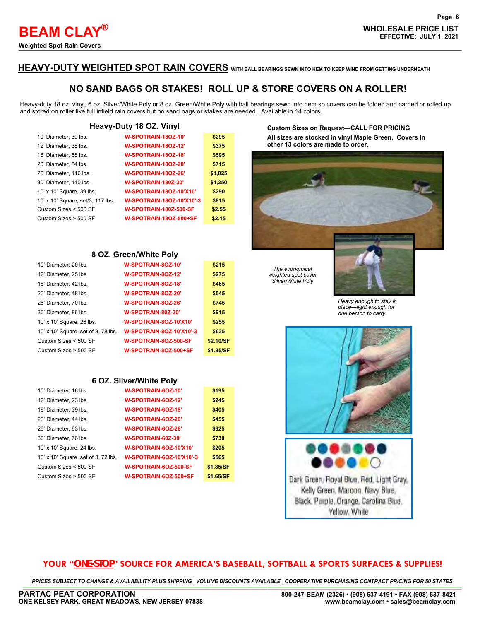# **HEAVY-DUTY WEIGHTED SPOT RAIN COVERS WITH BALL BEARINGS SEWN INTO HEM TO KEEP WIND FROM GETTING UNDERNEATH**

# **NO SAND BAGS OR STAKES! ROLL UP & STORE COVERS ON A ROLLER!**

Heavy-duty 18 oz. vinyl, 6 oz. Silver/White Poly or 8 oz. Green/White Poly with ball bearings sewn into hem so covers can be folded and carried or rolled up and stored on roller like full infield rain covers but no sand bags or stakes are needed. Available in 14 colors.

#### **Heavy-Duty 18 OZ. Vinyl**

| 10' Diameter, 30 lbs.             | W-SPOTRAIN-18OZ-10'            | \$295   |
|-----------------------------------|--------------------------------|---------|
| 12' Diameter, 38 lbs.             | W-SPOTRAIN-18OZ-12'            | \$375   |
| 18' Diameter, 68 lbs.             | W-SPOTRAIN-18OZ-18'            | \$595   |
| 20' Diameter, 84 lbs.             | W-SPOTRAIN-180Z-20'            | \$715   |
| 26' Diameter, 116 lbs.            | W-SPOTRAIN-180Z-26'            | \$1,025 |
| 30' Diameter, 140 lbs.            | <b>W-SPOTRAIN-180Z-30'</b>     | \$1,250 |
| 10' x 10' Square, 39 lbs.         | <b>W-SPOTRAIN-180Z-10'X10'</b> | \$290   |
| 10' x 10' Square, set/3, 117 lbs. | W-SPOTRAIN-180Z-10'X10'-3      | \$815   |
| Custom Sizes < 500 SF             | <b>W-SPOTRAIN-180Z-500-SF</b>  | \$2.55  |
| Custom Sizes > 500 SF             | W-SPOTRAIN-18OZ-500+SF         | \$2.15  |

#### **8 OZ. Green/White Poly**

| 10' Diameter, 20 lbs.               | W-SPOTRAIN-80Z-10'              | \$215     |
|-------------------------------------|---------------------------------|-----------|
| 12' Diameter, 25 lbs.               | W-SPOTRAIN-80Z-12'              | \$275     |
| 18' Diameter, 42 lbs.               | W-SPOTRAIN-80Z-18'              | \$485     |
| 20' Diameter, 48 lbs.               | W-SPOTRAIN-80Z-20'              | \$545     |
| 26' Diameter, 70 lbs.               | W-SPOTRAIN-80Z-26'              | \$745     |
| 30' Diameter, 86 lbs.               | W-SPOTRAIN-80Z-30'              | \$915     |
| 10' x 10' Square, 26 lbs.           | <b>W-SPOTRAIN-80Z-10'X10'</b>   | \$255     |
| 10' x 10' Square, set of 3, 78 lbs. | <b>W-SPOTRAIN-80Z-10'X10'-3</b> | \$635     |
| Custom Sizes < 500 SF               | W-SPOTRAIN-8OZ-500-SF           | \$2.10/SF |
| Custom Sizes > 500 SF               | W-SPOTRAIN-8OZ-500+SF           | \$1.85/SF |

#### **6 OZ. Silver/White Poly**

| 10' Diameter, 16 lbs.               | W-SPOTRAIN-6OZ-10'              | \$195     |
|-------------------------------------|---------------------------------|-----------|
| 12' Diameter, 23 lbs.               | W-SPOTRAIN-6OZ-12'              | \$245     |
| 18' Diameter, 39 lbs.               | W-SPOTRAIN-60Z-18'              | \$405     |
| 20' Diameter, 44 lbs.               | W-SPOTRAIN-6OZ-20'              | \$455     |
| 26' Diameter, 63 lbs.               | W-SPOTRAIN-6OZ-26'              | \$625     |
| 30' Diameter, 76 lbs.               | W-SPOTRAIN-60Z-30'              | \$730     |
| 10' x 10' Square, 24 lbs.           | W-SPOTRAIN-6OZ-10'X10'          | \$205     |
| 10' x 10' Square, set of 3, 72 lbs. | <b>W-SPOTRAIN-6OZ-10'X10'-3</b> | \$565     |
| Custom Sizes < 500 SF               | W-SPOTRAIN-6OZ-500-SF           | \$1.85/SF |
| Custom Sizes > 500 SF               | W-SPOTRAIN-6OZ-500+SF           | \$1.65/SF |

#### **Custom Sizes on Request—CALL FOR PRICING**

**All sizes are stocked in vinyl Maple Green. Covers in other 13 colors are made to order.**



*The economical weighted spot cover Silver/White Poly*



*Heavy enough to stay in place—light enough for one person to carry*





Dark Green, Royal Blue, Red, Light Gray, Kelly Green, Marcon, Navy Blue, Black, Purple, Orange, Carolina Blue, Yellow. White

## **YOUR "***ONE-STOP***" SOURCE FOR AMERICA'S BASEBALL, SOFTBALL & SPORTS SURFACES & SUPPLIES!**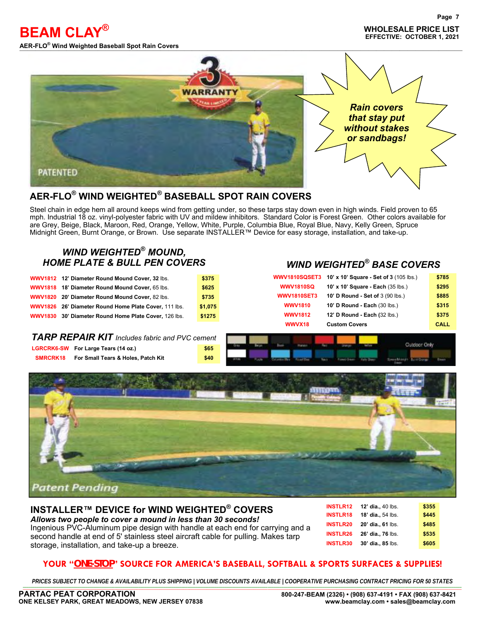**AER-FLO<sup>®</sup> Wind Weighted Baseball Spot Rain Covers** 

**®**



# **AER-FLO® WIND WEIGHTED***®* **BASEBALL SPOT RAIN COVERS**

Steel chain in edge hem all around keeps wind from getting under, so these tarps stay down even in high winds. Field proven to 65 mph. Industrial 18 oz. vinyl-polyester fabric with UV and mildew inhibitors. Standard Color is Forest Green. Other colors available for are Grey, Beige, Black, Maroon, Red, Orange, Yellow, White, Purple, Columbia Blue, Royal Blue, Navy, Kelly Green, Spruce Midnight Green, Burnt Orange, or Brown. Use separate INSTALLER™ Device for easy storage, installation, and take-up.

# *WIND WEIGHTED® MOUND,*

| WWV1812 12' Diameter Round Mound Cover, 32 lbs.       | \$375   |
|-------------------------------------------------------|---------|
| WWV1818 18' Diameter Round Mound Cover, 65 lbs.       | \$625   |
| WWV1820 20' Diameter Round Mound Cover, 82 lbs.       | \$735   |
| WWV1826 26' Diameter Round Home Plate Cover, 111 lbs. | \$1,075 |
| WWV1830 30' Diameter Round Home Plate Cover, 126 lbs. | \$1275  |

# *HOME PLATE & BULL PEN COVERS WIND WEIGHTED® BASE COVERS*

|                    | <b>WWV1810SQSET3 10' x 10' Square - Set of 3 (105 lbs.)</b> | \$785 |
|--------------------|-------------------------------------------------------------|-------|
| <b>WWV1810SQ</b>   | 10' x 10' Square - Each (35 lbs.)                           | \$295 |
| <b>WWV1810SET3</b> | 10' D Round - Set of 3 (90 lbs.)                            | \$885 |
| <b>WWV1810</b>     | 10' D Round - Each (30 lbs.)                                | \$315 |
| <b>WWV1812</b>     | <b>12' D Round - Each (32 lbs.)</b>                         | \$375 |
| WWVX18             | <b>Custom Covers</b>                                        | CALL  |

# *TARP REPAIR KIT Includes fabric and PVC cement*

|                 | LGRCRK6-SW For Large Tears (14 oz.) | \$65 |
|-----------------|-------------------------------------|------|
| <b>SMRCRK18</b> | For Small Tears & Holes, Patch Kit  | \$40 |





### **INSTALLER™ DEVICE for WIND WEIGHTED® COVERS** *Allows two people to cover a mound in less than 30 seconds!*

Ingenious PVC-Aluminum pipe design with handle at each end for carrying and a second handle at end of 5' stainless steel aircraft cable for pulling. Makes tarp storage, installation, and take-up a breeze.

| <b>INSTLR12</b> | 12' dia., 40 lbs. | \$355 |
|-----------------|-------------------|-------|
| <b>INSTLR18</b> | 18' dia., 54 lbs. | \$445 |
| <b>INSTLR20</b> | 20' dia., 61 lbs. | \$485 |
| <b>INSTLR26</b> | 26' dia., 76 lbs. | \$535 |
| <b>INSTLR30</b> | 30' dia., 85 lbs. | \$605 |

# **YOUR "***ONE-STOP***" SOURCE FOR AMERICA'S BASEBALL, SOFTBALL & SPORTS SURFACES & SUPPLIES!**

PRICES SUBJECT TO CHANGE & AVAILABILITY PLUS SHIPPING | VOLUME DISCOUNTS AVAILABLE | COOPERATIVE PURCHASING CONTRACT PRICING FOR 50 STATES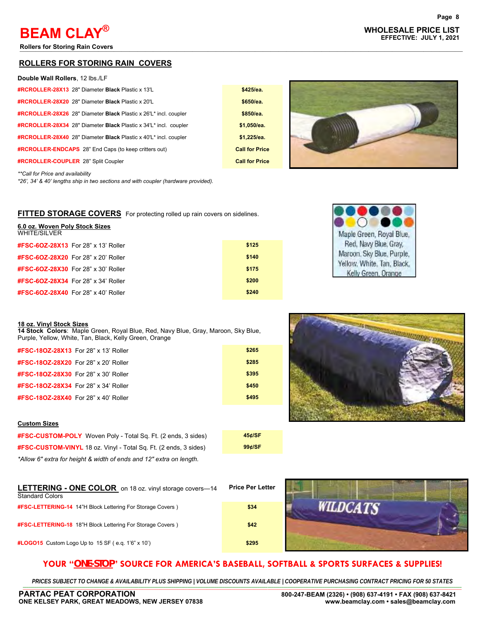**Rollers for Storing Rain Covers** 

#### **ROLLERS FOR STORING RAIN COVERS**

| Double Wall Rollers, 12 lbs./LF                                  |                      |
|------------------------------------------------------------------|----------------------|
| #RCROLLER-28X13 28" Diameter Black Plastic x 13'L                | \$425/ea.            |
| <b>#RCROLLER-28X20 28" Diameter Black Plastic x 20'L</b>         | \$650/ea.            |
| #RCROLLER-28X26 28" Diameter Black Plastic x 26"L* incl. coupler | \$850/ea.            |
| #RCROLLER-28X34 28" Diameter Black Plastic x 34'L* incl. coupler | \$1.050/ea.          |
| #RCROLLER-28X40 28" Diameter Black Plastic x 40'L* incl. coupler | \$1,225/ea.          |
| <b>#RCROLLER-ENDCAPS</b> 28" End Caps (to keep critters out)     | <b>Call for Pric</b> |
| #RCROLLER-COUPLER 28" Split Coupler                              | <b>Call for Pric</b> |

|  | $\frac{1}{2}$ is the cape (to noop |  |
|--|------------------------------------|--|
|  | <b>PLER</b> 28" Split Coupler      |  |

*\*\*Call for Price and availability*

**6.0 oz. Woven Poly Stock Sizes**

*\*26', 34' & 40' lengths ship in two sections and with coupler (hardware provided).*

#### **FITTED STORAGE COVERS** For protecting rolled up rain covers on sidelines.

| <b>0.0 UZ. WUVELL FUIV SLUCK SIZES</b><br><b>WHITE/SILVER</b> |       |
|---------------------------------------------------------------|-------|
| <b>#FSC-6OZ-28X13</b> For 28" x 13' Roller                    | \$125 |
| <b>#FSC-6OZ-28X20</b> For 28" x 20' Roller                    | \$140 |
| <b>#FSC-6OZ-28X30</b> For 28" x 30' Roller                    | \$175 |
| <b>#FSC-6OZ-28X34</b> For 28" x 34' Roller                    | \$200 |
| <b>#FSC-6OZ-28X40</b> For 28" x 40' Roller                    | \$240 |



|  | 18 oz. Vinvl Stock Sizes |  |
|--|--------------------------|--|
|  |                          |  |

**14 Stock Colors**: Maple Green, Royal Blue, Red, Navy Blue, Gray, Maroon, Sky Blue, Purple, Yellow, White, Tan, Black, Kelly Green, Orange

| <b>#FSC-18OZ-28X13</b> For 28" x 13' Roller | \$265 |
|---------------------------------------------|-------|
| <b>#FSC-18OZ-28X20</b> For 28" x 20' Roller | \$285 |
| <b>#FSC-18OZ-28X30</b> For 28" x 30' Roller | \$395 |
| <b>#FSC-18OZ-28X34</b> For 28" x 34' Roller | \$450 |
| <b>#FSC-18OZ-28X40</b> For 28" x 40' Roller | \$495 |
|                                             |       |

#### **Custom Sizes**

**#FSC-CUSTOM-POLY** Woven Poly - Total Sq. Ft. (2 ends, 3 sides) **45¢/SF #FSC-CUSTOM-VINYL** 18 oz. Vinyl - Total Sq. Ft. (2 ends, 3 sides) **99¢/SF** *\*Allow 6" extra for height & width of ends and 12" extra on length.* 

| 45¢/SF |  |
|--------|--|
| 99¢/SF |  |

**Call for Price Call for Price** 

| <b>LETTERING - ONE COLOR</b> on 18 oz. vinyl storage covers-14<br><b>Standard Colors</b> | <b>Price Per Letter</b> |
|------------------------------------------------------------------------------------------|-------------------------|
| <b>#FSC-LETTERING-14</b> 14"H Block Lettering For Storage Covers)                        | \$34                    |
| <b>#FSC-LETTERING-18</b> 18"H Block Lettering For Storage Covers)                        | \$42                    |
| <b>#LOGO15</b> Custom Logo Up to 15 SF (e.g. 1'6" x 10')                                 | \$295                   |



PRICES SUBJECT TO CHANGE & AVAILABILITY PLUS SHIPPING | VOLUME DISCOUNTS AVAILABLE | COOPERATIVE PURCHASING CONTRACT PRICING FOR 50 STATES

**WILDCATS** 

# **WHOLESALE PRICE LIST BEAM CLAY EFFECTIVE: JULY 1, 2021 ®**



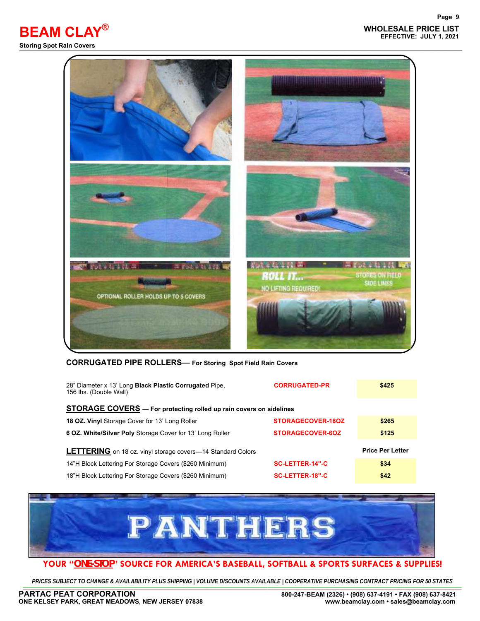

#### **CORRUGATED PIPE ROLLERS— For Storing Spot Field Rain Covers**

| 28" Diameter x 13' Long <b>Black Plastic Corrugated</b> Pipe,<br>156 lbs. (Double Wall) | <b>CORRUGATED-PR</b>   | \$425                   |
|-----------------------------------------------------------------------------------------|------------------------|-------------------------|
| <b>STORAGE COVERS</b> - For protecting rolled up rain covers on sidelines               |                        |                         |
| <b>18 OZ. Vinyl Storage Cover for 13' Long Roller</b>                                   | STORAGECOVER-180Z      | \$265                   |
| 6 OZ. White/Silver Poly Storage Cover for 13' Long Roller                               | STORAGECOVER-60Z       | \$125                   |
| <b>LETTERING</b> on 18 oz. vinyl storage covers-14 Standard Colors                      |                        | <b>Price Per Letter</b> |
| 14"H Block Lettering For Storage Covers (\$260 Minimum)                                 | <b>SC-LETTER-14"-C</b> | \$34                    |
| 18"H Block Lettering For Storage Covers (\$260 Minimum)                                 | SC-LETTER-18"-C        | \$42                    |



# **YOUR "***ONE-STOP***" SOURCE FOR AMERICA'S BASEBALL, SOFTBALL & SPORTS SURFACES & SUPPLIES!**